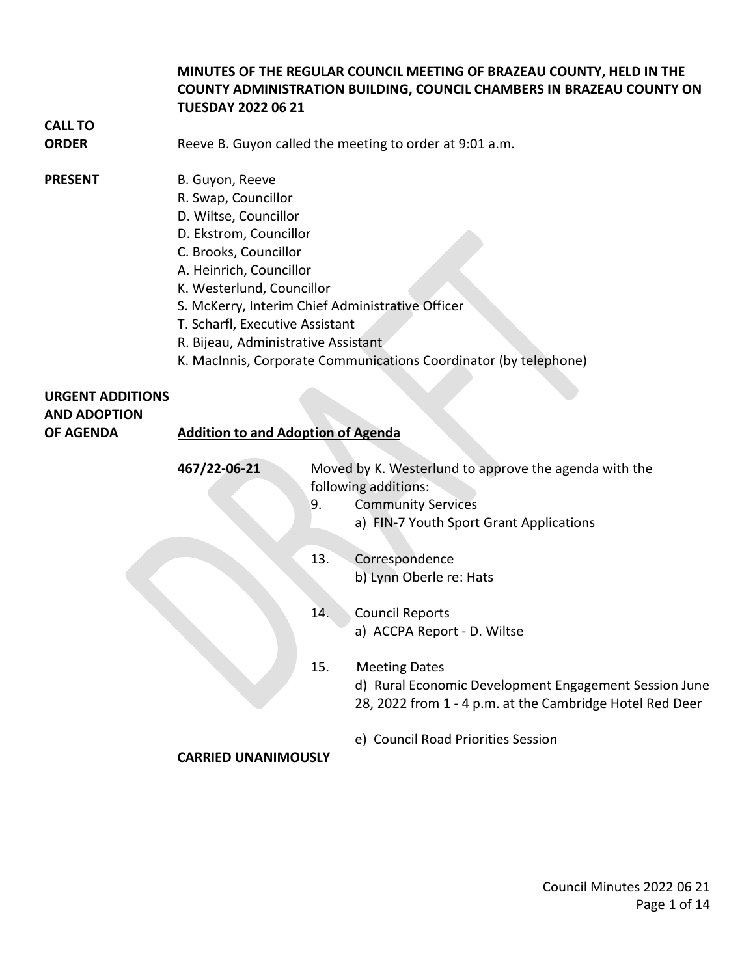#### **MINUTES OF THE REGULAR COUNCIL MEETING OF BRAZEAU COUNTY, HELD IN THE COUNTY ADMINISTRATION BUILDING, COUNCIL CHAMBERS IN BRAZEAU COUNTY ON TUESDAY 2022 06 21**

# **CALL TO**

**ORDER** Reeve B. Guyon called the meeting to order at 9:01 a.m.

#### **PRESENT** B. Guyon, Reeve

- R. Swap, Councillor
- D. Wiltse, Councillor
- D. Ekstrom, Councillor
- C. Brooks, Councillor
- A. Heinrich, Councillor
- K. Westerlund, Councillor
- S. McKerry, Interim Chief Administrative Officer
- T. Scharfl, Executive Assistant
- R. Bijeau, Administrative Assistant
- K. MacInnis, Corporate Communications Coordinator (by telephone)

# **URGENT ADDITIONS AND ADOPTION**

### **OF AGENDA Addition to and Adoption of Agenda**

| 467/22-06-21 | Moved by K. Westerlund to approve the agenda with the<br>following additions:<br><b>Community Services</b><br>9. |                                                                                                                   |
|--------------|------------------------------------------------------------------------------------------------------------------|-------------------------------------------------------------------------------------------------------------------|
|              |                                                                                                                  | a) FIN-7 Youth Sport Grant Applications                                                                           |
|              | 13.                                                                                                              | Correspondence                                                                                                    |
|              |                                                                                                                  | b) Lynn Oberle re: Hats                                                                                           |
|              | 14.                                                                                                              | <b>Council Reports</b>                                                                                            |
|              |                                                                                                                  | a) ACCPA Report - D. Wiltse                                                                                       |
|              | 15.                                                                                                              | <b>Meeting Dates</b>                                                                                              |
|              |                                                                                                                  | d) Rural Economic Development Engagement Session June<br>28, 2022 from 1 - 4 p.m. at the Cambridge Hotel Red Deer |
|              |                                                                                                                  | e) Council Road Priorities Session                                                                                |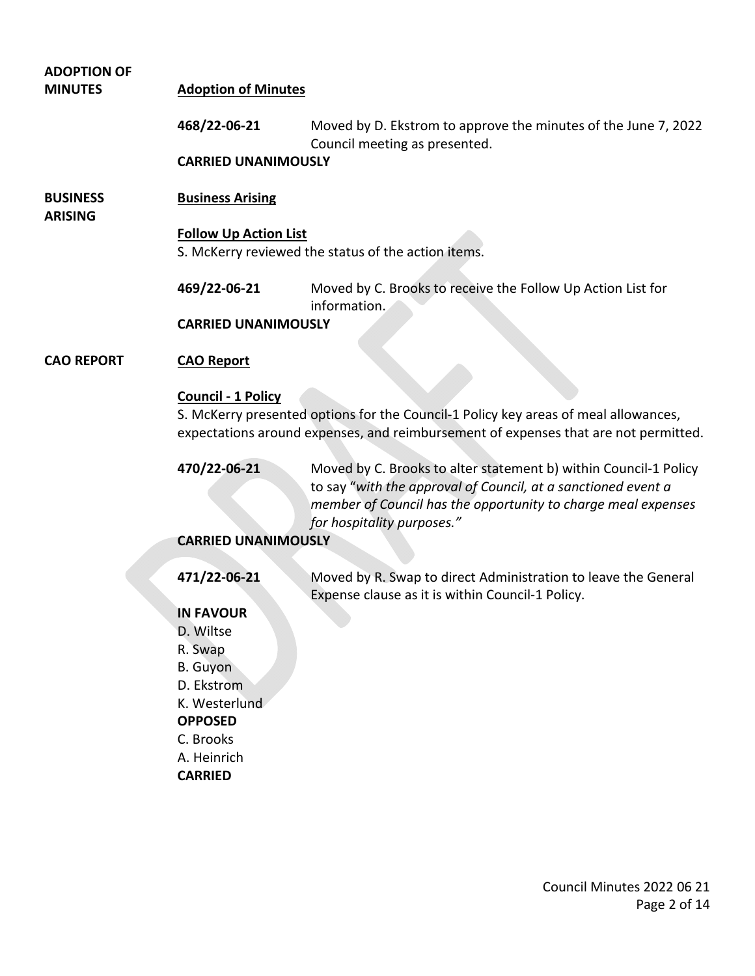| <b>ADOPTION OF</b><br><b>MINUTES</b> | <b>Adoption of Minutes</b>                                                                                                                                                                              |                                                                                                                                                                                                                                  |  |  |
|--------------------------------------|---------------------------------------------------------------------------------------------------------------------------------------------------------------------------------------------------------|----------------------------------------------------------------------------------------------------------------------------------------------------------------------------------------------------------------------------------|--|--|
|                                      | 468/22-06-21                                                                                                                                                                                            | Moved by D. Ekstrom to approve the minutes of the June 7, 2022<br>Council meeting as presented.                                                                                                                                  |  |  |
|                                      | <b>CARRIED UNANIMOUSLY</b>                                                                                                                                                                              |                                                                                                                                                                                                                                  |  |  |
| <b>BUSINESS</b><br><b>ARISING</b>    | <b>Business Arising</b>                                                                                                                                                                                 |                                                                                                                                                                                                                                  |  |  |
|                                      | <b>Follow Up Action List</b><br>S. McKerry reviewed the status of the action items.                                                                                                                     |                                                                                                                                                                                                                                  |  |  |
|                                      | 469/22-06-21                                                                                                                                                                                            | Moved by C. Brooks to receive the Follow Up Action List for<br>information.                                                                                                                                                      |  |  |
|                                      | <b>CARRIED UNANIMOUSLY</b>                                                                                                                                                                              |                                                                                                                                                                                                                                  |  |  |
| <b>CAO REPORT</b>                    | <b>CAO Report</b>                                                                                                                                                                                       |                                                                                                                                                                                                                                  |  |  |
|                                      | <b>Council - 1 Policy</b><br>S. McKerry presented options for the Council-1 Policy key areas of meal allowances,<br>expectations around expenses, and reimbursement of expenses that are not permitted. |                                                                                                                                                                                                                                  |  |  |
|                                      | 470/22-06-21                                                                                                                                                                                            | Moved by C. Brooks to alter statement b) within Council-1 Policy<br>to say "with the approval of Council, at a sanctioned event a<br>member of Council has the opportunity to charge meal expenses<br>for hospitality purposes." |  |  |
|                                      | <b>CARRIED UNANIMOUSLY</b>                                                                                                                                                                              |                                                                                                                                                                                                                                  |  |  |
|                                      | 471/22-06-21                                                                                                                                                                                            | Moved by R. Swap to direct Administration to leave the General<br>Expense clause as it is within Council-1 Policy.                                                                                                               |  |  |
|                                      | <b>IN FAVOUR</b>                                                                                                                                                                                        |                                                                                                                                                                                                                                  |  |  |
|                                      | D. Wiltse                                                                                                                                                                                               |                                                                                                                                                                                                                                  |  |  |
|                                      | R. Swap                                                                                                                                                                                                 |                                                                                                                                                                                                                                  |  |  |
|                                      | B. Guyon                                                                                                                                                                                                |                                                                                                                                                                                                                                  |  |  |
|                                      | D. Ekstrom                                                                                                                                                                                              |                                                                                                                                                                                                                                  |  |  |
|                                      | K. Westerlund<br><b>OPPOSED</b>                                                                                                                                                                         |                                                                                                                                                                                                                                  |  |  |
|                                      | C. Brooks                                                                                                                                                                                               |                                                                                                                                                                                                                                  |  |  |
|                                      | A. Heinrich                                                                                                                                                                                             |                                                                                                                                                                                                                                  |  |  |
|                                      | <b>CARRIED</b>                                                                                                                                                                                          |                                                                                                                                                                                                                                  |  |  |
|                                      |                                                                                                                                                                                                         |                                                                                                                                                                                                                                  |  |  |
|                                      |                                                                                                                                                                                                         |                                                                                                                                                                                                                                  |  |  |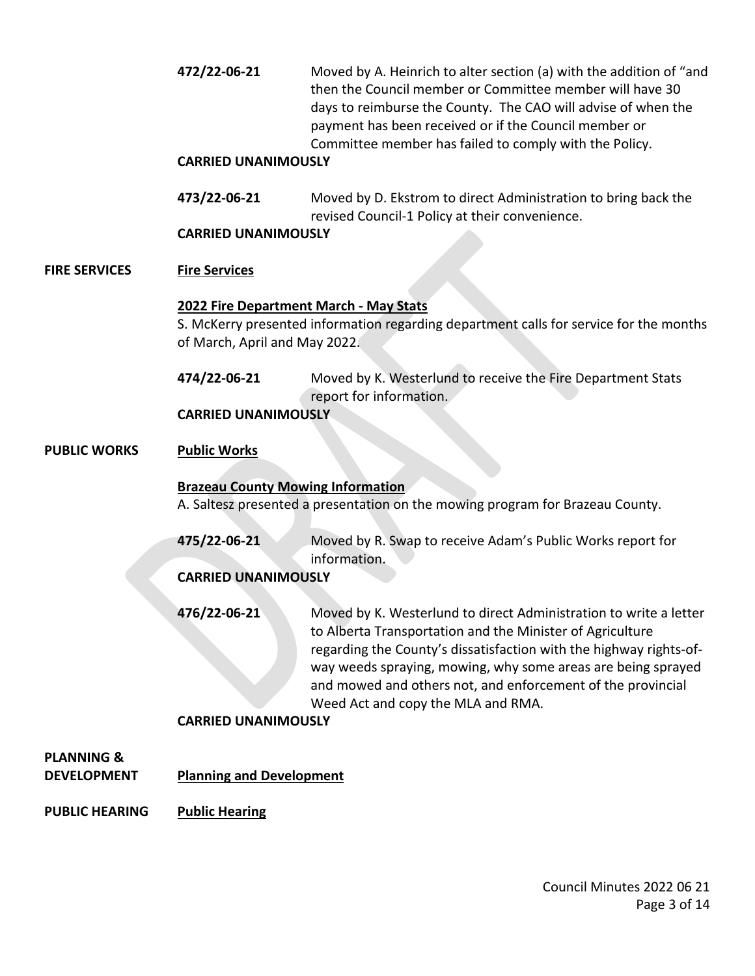**472/22-06-21** Moved by A. Heinrich to alter section (a) with the addition of "and then the Council member or Committee member will have 30 days to reimburse the County. The CAO will advise of when the payment has been received or if the Council member or Committee member has failed to comply with the Policy.

#### **CARRIED UNANIMOUSLY**

**473/22-06-21** Moved by D. Ekstrom to direct Administration to bring back the revised Council-1 Policy at their convenience.

#### **CARRIED UNANIMOUSLY**

#### **FIRE SERVICES Fire Services**

#### **2022 Fire Department March - May Stats**

S. McKerry presented information regarding department calls for service for the months of March, April and May 2022.

**474/22-06-21** Moved by K. Westerlund to receive the Fire Department Stats report for information.

#### **CARRIED UNANIMOUSLY**

#### **PUBLIC WORKS Public Works**

#### **Brazeau County Mowing Information**

A. Saltesz presented a presentation on the mowing program for Brazeau County.

**475/22-06-21** Moved by R. Swap to receive Adam's Public Works report for information.

#### **CARRIED UNANIMOUSLY**

**476/22-06-21** Moved by K. Westerlund to direct Administration to write a letter to Alberta Transportation and the Minister of Agriculture regarding the County's dissatisfaction with the highway rights-ofway weeds spraying, mowing, why some areas are being sprayed and mowed and others not, and enforcement of the provincial Weed Act and copy the MLA and RMA.

### **CARRIED UNANIMOUSLY**

# **PLANNING &**

**DEVELOPMENT Planning and Development** 

#### **PUBLIC HEARING Public Hearing**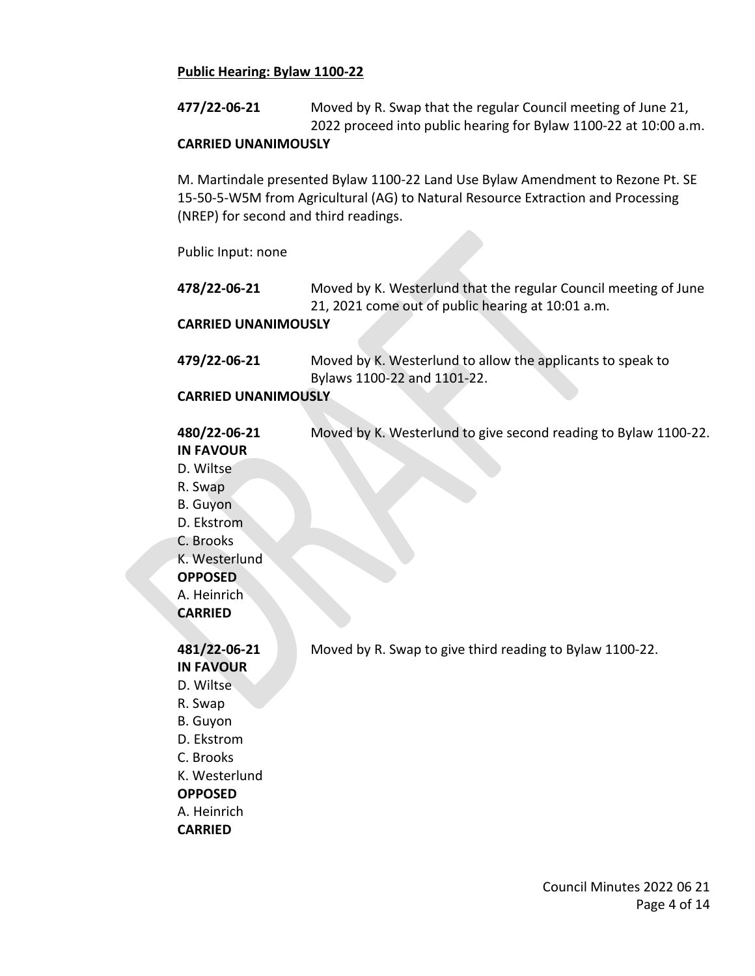#### **Public Hearing: Bylaw 1100-22**

**477/22-06-21** Moved by R. Swap that the regular Council meeting of June 21, 2022 proceed into public hearing for Bylaw 1100-22 at 10:00 a.m.

#### **CARRIED UNANIMOUSLY**

M. Martindale presented Bylaw 1100-22 Land Use Bylaw Amendment to Rezone Pt. SE 15-50-5-W5M from Agricultural (AG) to Natural Resource Extraction and Processing (NREP) for second and third readings.

#### Public Input: none

| 478/22-06-21           | Moved by K. Westerlund that the regular Council meeting of June |
|------------------------|-----------------------------------------------------------------|
|                        | 21, 2021 come out of public hearing at 10:01 a.m.               |
| CADDIED UNIANIA ACUCIV |                                                                 |

#### **CARRIED UNANIMOUSLY**

| 479/22-06-21 | Moved by K. Westerlund to allow the applicants to speak to |
|--------------|------------------------------------------------------------|
|              | Bylaws 1100-22 and 1101-22.                                |

#### **CARRIED UNANIMOUSLY**

| 480/22-06-21     | Moved by K. Westerlund to give second reading to Bylaw 1100-22. |
|------------------|-----------------------------------------------------------------|
| <b>IN FAVOUR</b> |                                                                 |
| D. Wiltse        |                                                                 |
| R. Swap          |                                                                 |
| B. Guyon         |                                                                 |
| D. Ekstrom       |                                                                 |
| C. Brooks        |                                                                 |
| K. Westerlund    |                                                                 |
| <b>OPPOSED</b>   |                                                                 |
| A. Heinrich      |                                                                 |
| <b>CARRIED</b>   |                                                                 |
|                  |                                                                 |
| 481/22-06-21     | Moved by R. Swap to give third reading to Bylaw 1100-22.        |

## **IN FAVOUR** D. Wiltse R. Swap B. Guyon D. Ekstrom C. Brooks K. Westerlund **OPPOSED** A. Heinrich

**CARRIED**

Council Minutes 2022 06 21 Page 4 of 14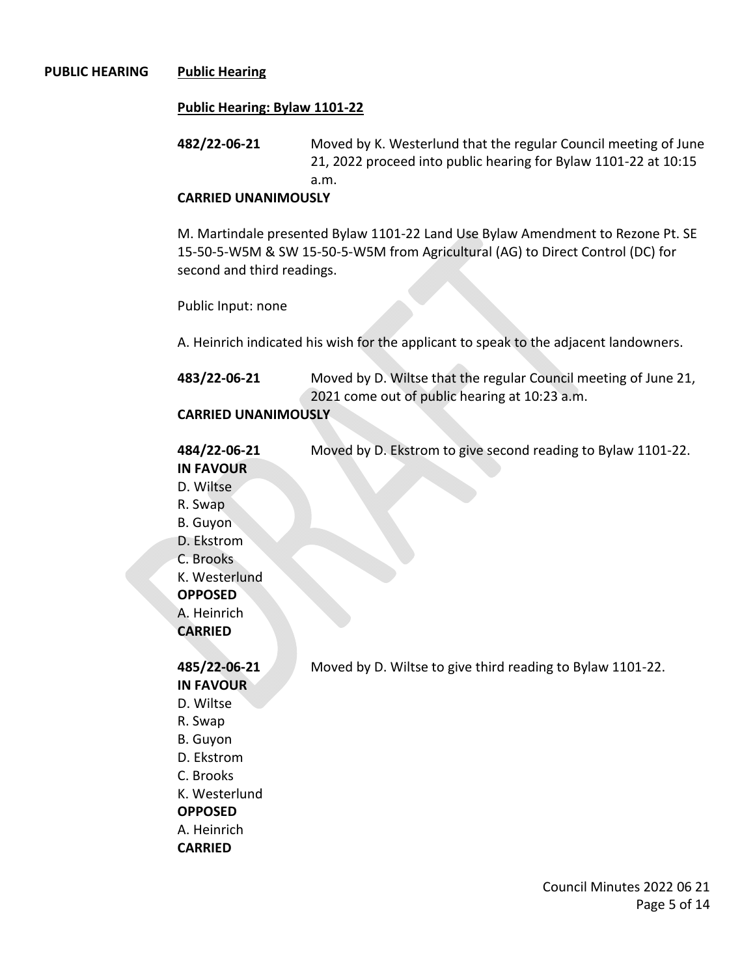#### **PUBLIC HEARING Public Hearing**

#### **Public Hearing: Bylaw 1101-22**

**482/22-06-21** Moved by K. Westerlund that the regular Council meeting of June 21, 2022 proceed into public hearing for Bylaw 1101-22 at 10:15 a.m.

#### **CARRIED UNANIMOUSLY**

M. Martindale presented Bylaw 1101-22 Land Use Bylaw Amendment to Rezone Pt. SE 15-50-5-W5M & SW 15-50-5-W5M from Agricultural (AG) to Direct Control (DC) for second and third readings.

Public Input: none

A. Heinrich indicated his wish for the applicant to speak to the adjacent landowners.

| 483/22-06-21          | Moved by D. Wiltse that the regular Council meeting of June 21, |
|-----------------------|-----------------------------------------------------------------|
|                       | 2021 come out of public hearing at 10:23 a.m.                   |
| CAPPIED IINANIMANICIV |                                                                 |

### **CARRIED UNANIMOUSLY**

| 484/22-06-21     | Moved by D. Ekstrom to give second reading to Bylaw 1101-22. |
|------------------|--------------------------------------------------------------|
| <b>IN FAVOUR</b> |                                                              |
| D. Wiltse        |                                                              |
| R. Swap          |                                                              |
| B. Guyon         |                                                              |
| D. Ekstrom       |                                                              |
| C. Brooks        |                                                              |
| K. Westerlund    |                                                              |
| <b>OPPOSED</b>   |                                                              |
| A. Heinrich      |                                                              |
| <b>CARRIED</b>   |                                                              |
|                  |                                                              |
| 485/22.06.21     | Moved by D. Wiltse to give third reading to Bylaw 1101-22    |

**IN FAVOUR** D. Wiltse R. Swap B. Guyon D. Ekstrom C. Brooks K. Westerlund **OPPOSED** A. Heinrich **CARRIED**

**485/22-06-21** Moved by D. Wiltse to give third reading to Bylaw 1101-22.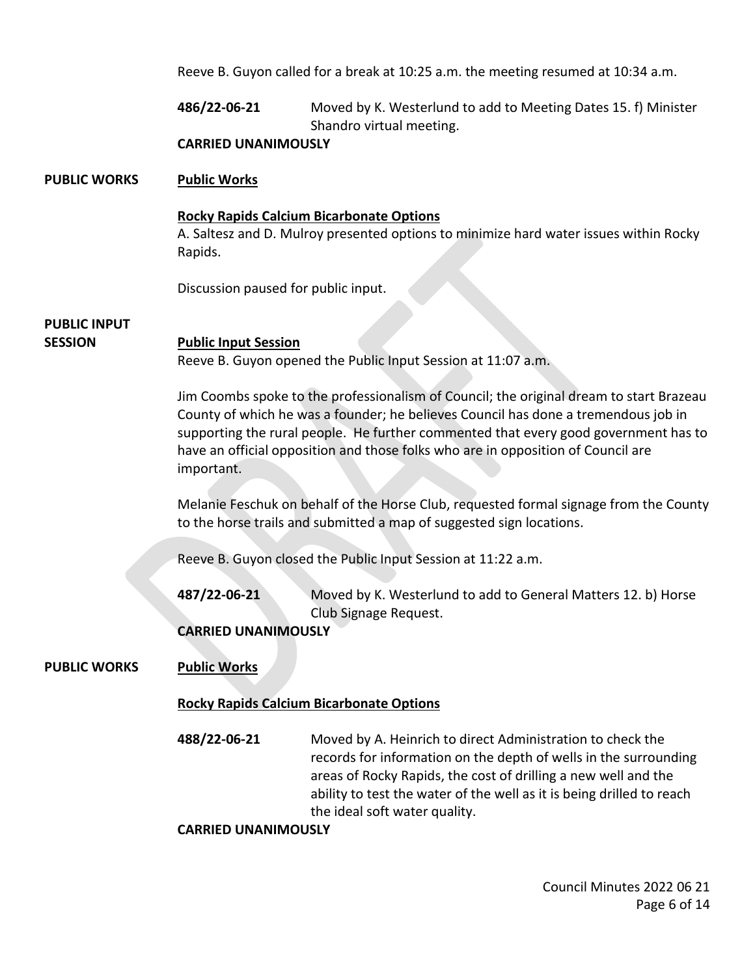Reeve B. Guyon called for a break at 10:25 a.m. the meeting resumed at 10:34 a.m.

**486/22-06-21** Moved by K. Westerlund to add to Meeting Dates 15. f) Minister Shandro virtual meeting.

#### **CARRIED UNANIMOUSLY**

#### **PUBLIC WORKS Public Works**

#### **Rocky Rapids Calcium Bicarbonate Options**

A. Saltesz and D. Mulroy presented options to minimize hard water issues within Rocky Rapids.

Discussion paused for public input.

## **PUBLIC INPUT**

#### **SESSION Public Input Session**

Reeve B. Guyon opened the Public Input Session at 11:07 a.m.

Jim Coombs spoke to the professionalism of Council; the original dream to start Brazeau County of which he was a founder; he believes Council has done a tremendous job in supporting the rural people. He further commented that every good government has to have an official opposition and those folks who are in opposition of Council are important.

Melanie Feschuk on behalf of the Horse Club, requested formal signage from the County to the horse trails and submitted a map of suggested sign locations.

Reeve B. Guyon closed the Public Input Session at 11:22 a.m.

**487/22-06-21** Moved by K. Westerlund to add to General Matters 12. b) Horse Club Signage Request.

**CARRIED UNANIMOUSLY** 

#### **PUBLIC WORKS Public Works**

#### **Rocky Rapids Calcium Bicarbonate Options**

**488/22-06-21** Moved by A. Heinrich to direct Administration to check the records for information on the depth of wells in the surrounding areas of Rocky Rapids, the cost of drilling a new well and the ability to test the water of the well as it is being drilled to reach the ideal soft water quality.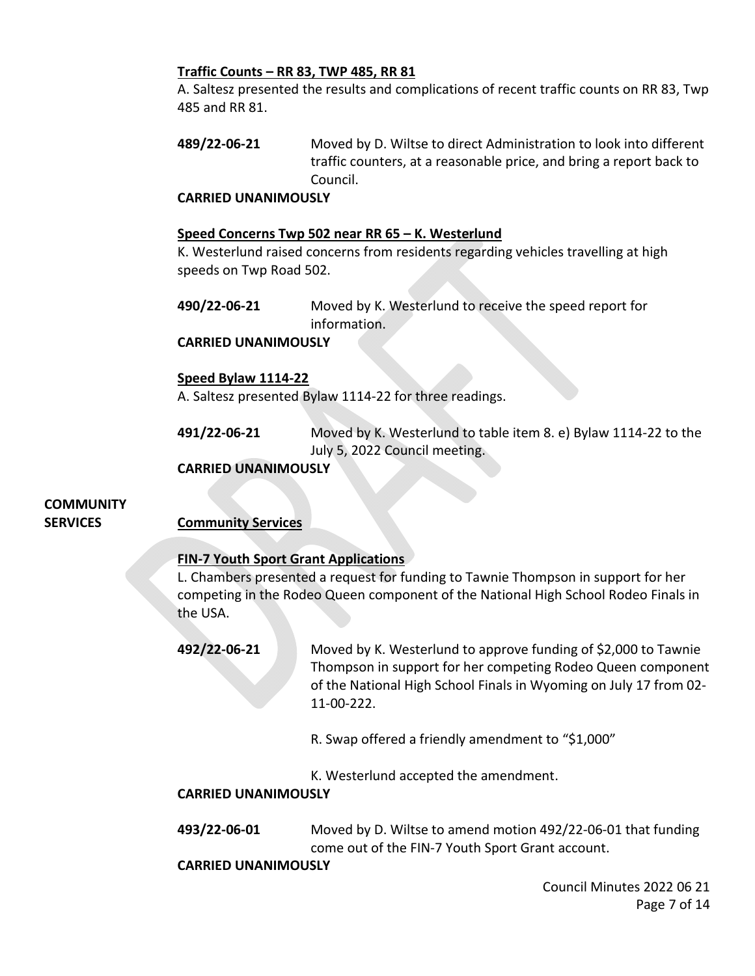#### **Traffic Counts – RR 83, TWP 485, RR 81**

A. Saltesz presented the results and complications of recent traffic counts on RR 83, Twp 485 and RR 81.

**489/22-06-21** Moved by D. Wiltse to direct Administration to look into different traffic counters, at a reasonable price, and bring a report back to Council.

#### **CARRIED UNANIMOUSLY**

#### **Speed Concerns Twp 502 near RR 65 – K. Westerlund**

K. Westerlund raised concerns from residents regarding vehicles travelling at high speeds on Twp Road 502.

**490/22-06-21** Moved by K. Westerlund to receive the speed report for information.

#### **CARRIED UNANIMOUSLY**

#### **Speed Bylaw 1114-22**

A. Saltesz presented Bylaw 1114-22 for three readings.

**491/22-06-21** Moved by K. Westerlund to table item 8. e) Bylaw 1114-22 to the July 5, 2022 Council meeting.

#### **CARRIED UNANIMOUSLY**

# **COMMUNITY**

**SERVICES Community Services**

### **FIN-7 Youth Sport Grant Applications**

L. Chambers presented a request for funding to Tawnie Thompson in support for her competing in the Rodeo Queen component of the National High School Rodeo Finals in the USA.

**492/22-06-21** Moved by K. Westerlund to approve funding of \$2,000 to Tawnie Thompson in support for her competing Rodeo Queen component of the National High School Finals in Wyoming on July 17 from 02- 11-00-222.

R. Swap offered a friendly amendment to "\$1,000"

K. Westerlund accepted the amendment.

#### **CARRIED UNANIMOUSLY**

**493/22-06-01** Moved by D. Wiltse to amend motion 492/22-06-01 that funding come out of the FIN-7 Youth Sport Grant account.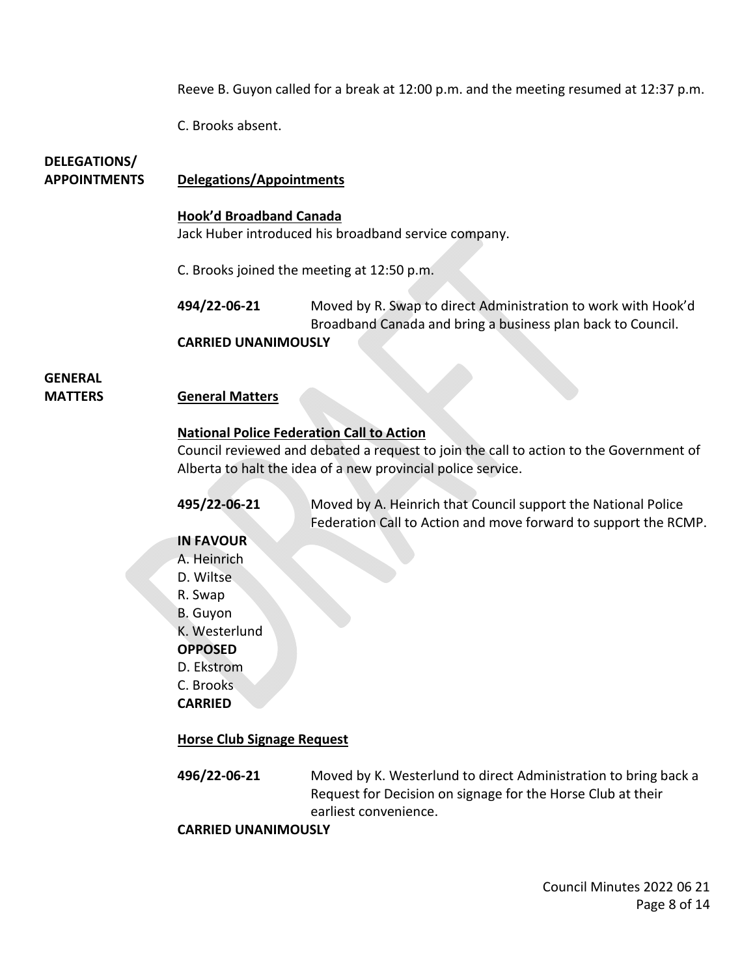Reeve B. Guyon called for a break at 12:00 p.m. and the meeting resumed at 12:37 p.m.

C. Brooks absent.

# **DELEGATIONS/**

#### **APPOINTMENTS Delegations/Appointments**

#### **Hook'd Broadband Canada**

Jack Huber introduced his broadband service company.

C. Brooks joined the meeting at 12:50 p.m.

**494/22-06-21** Moved by R. Swap to direct Administration to work with Hook'd Broadband Canada and bring a business plan back to Council.

#### **CARRIED UNANIMOUSLY**

# **GENERAL**

#### **MATTERS General Matters**

#### **National Police Federation Call to Action**

Council reviewed and debated a request to join the call to action to the Government of Alberta to halt the idea of a new provincial police service.

**495/22-06-21** Moved by A. Heinrich that Council support the National Police Federation Call to Action and move forward to support the RCMP.

#### **IN FAVOUR**

A. Heinrich D. Wiltse R. Swap B. Guyon K. Westerlund **OPPOSED** D. Ekstrom C. Brooks

**CARRIED** 

### **Horse Club Signage Request**

**496/22-06-21** Moved by K. Westerlund to direct Administration to bring back a Request for Decision on signage for the Horse Club at their earliest convenience.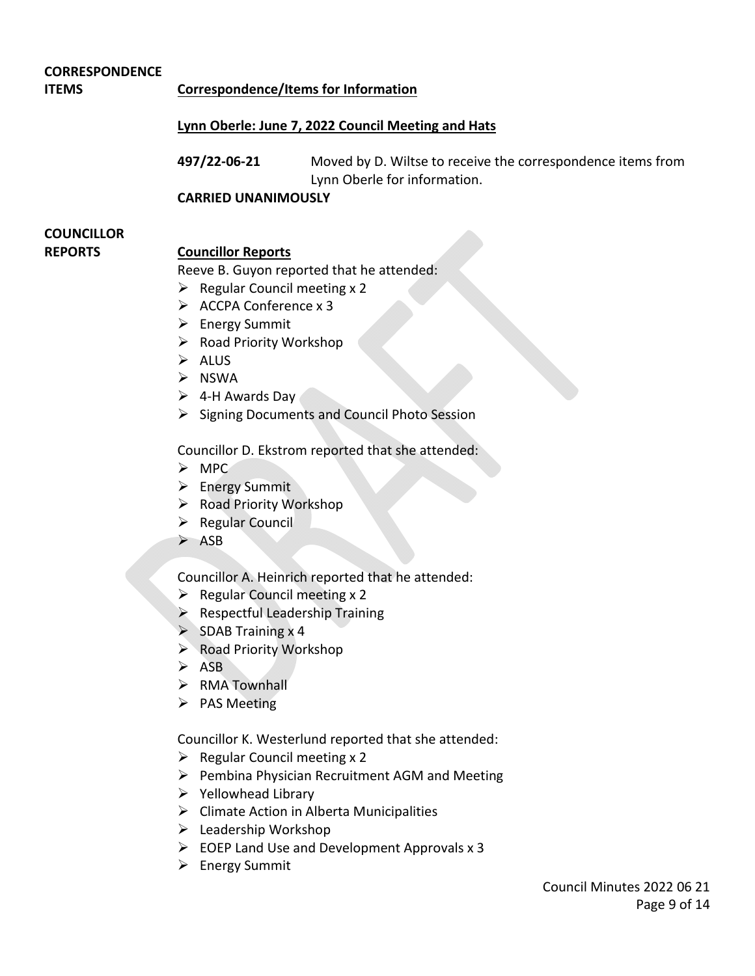#### **CORRESPONDENCE**

**ITEMS Correspondence/Items for Information**

#### **Lynn Oberle: June 7, 2022 Council Meeting and Hats**

**497/22-06-21** Moved by D. Wiltse to receive the correspondence items from Lynn Oberle for information.

**CARRIED UNANIMOUSLY** 

# **COUNCILLOR**

#### **REPORTS Councillor Reports**

Reeve B. Guyon reported that he attended:

- $\triangleright$  Regular Council meeting x 2
- $\triangleright$  ACCPA Conference x 3
- $\triangleright$  Energy Summit
- $\triangleright$  Road Priority Workshop
- $\triangleright$  ALUS
- $\triangleright$  NSWA
- $\triangleright$  4-H Awards Day
- $\triangleright$  Signing Documents and Council Photo Session

Councillor D. Ekstrom reported that she attended:

- $>$  MPC
- > Energy Summit
- $\triangleright$  Road Priority Workshop
- $\triangleright$  Regular Council
- $\triangleright$  ASB

Councillor A. Heinrich reported that he attended:

- $\triangleright$  Regular Council meeting x 2
- $\triangleright$  Respectful Leadership Training
- $\triangleright$  SDAB Training x 4
- ▶ Road Priority Workshop
- $\triangleright$  ASB
- > RMA Townhall
- $\triangleright$  PAS Meeting

Councillor K. Westerlund reported that she attended:

- $\triangleright$  Regular Council meeting x 2
- $\triangleright$  Pembina Physician Recruitment AGM and Meeting
- $\triangleright$  Yellowhead Library
- $\triangleright$  Climate Action in Alberta Municipalities
- $\triangleright$  Leadership Workshop
- $\triangleright$  EOEP Land Use and Development Approvals x 3
- $\triangleright$  Energy Summit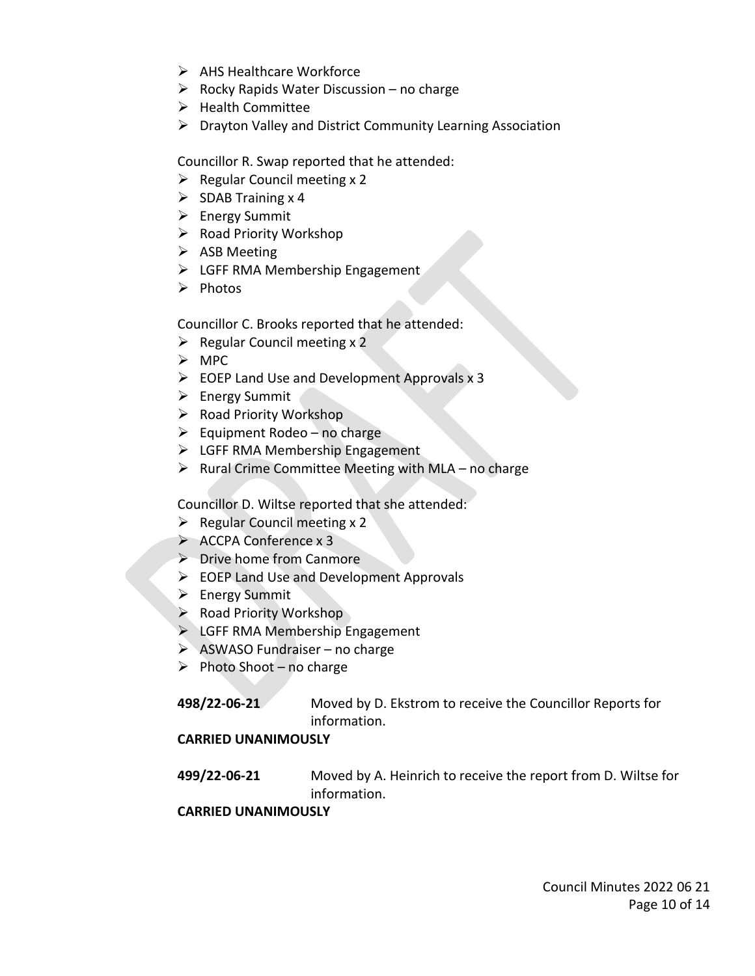- $\triangleright$  AHS Healthcare Workforce
- $\triangleright$  Rocky Rapids Water Discussion no charge
- $\blacktriangleright$  Health Committee
- $\triangleright$  Drayton Valley and District Community Learning Association

Councillor R. Swap reported that he attended:

- $\triangleright$  Regular Council meeting x 2
- $\triangleright$  SDAB Training x 4
- $\triangleright$  Energy Summit
- $\triangleright$  Road Priority Workshop
- $\triangleright$  ASB Meeting
- $\triangleright$  LGFF RMA Membership Engagement
- $\triangleright$  Photos

Councillor C. Brooks reported that he attended:

- $\triangleright$  Regular Council meeting x 2
- $\triangleright$  MPC
- $\triangleright$  EOEP Land Use and Development Approvals x 3
- $\triangleright$  Energy Summit
- $\triangleright$  Road Priority Workshop
- $\triangleright$  Equipment Rodeo no charge
- $\triangleright$  LGFF RMA Membership Engagement
- $\triangleright$  Rural Crime Committee Meeting with MLA no charge

Councillor D. Wiltse reported that she attended:

- $\triangleright$  Regular Council meeting x 2
- $\triangleright$  ACCPA Conference x 3
- $\triangleright$  Drive home from Canmore
- $\triangleright$  EOEP Land Use and Development Approvals
- $\triangleright$  Energy Summit
- $\triangleright$  Road Priority Workshop
- $\triangleright$  LGFF RMA Membership Engagement
- $\triangleright$  ASWASO Fundraiser no charge
- $\triangleright$  Photo Shoot no charge

**498/22-06-21** Moved by D. Ekstrom to receive the Councillor Reports for information.

### **CARRIED UNANIMOUSLY**

**499/22-06-21** Moved by A. Heinrich to receive the report from D. Wiltse for information.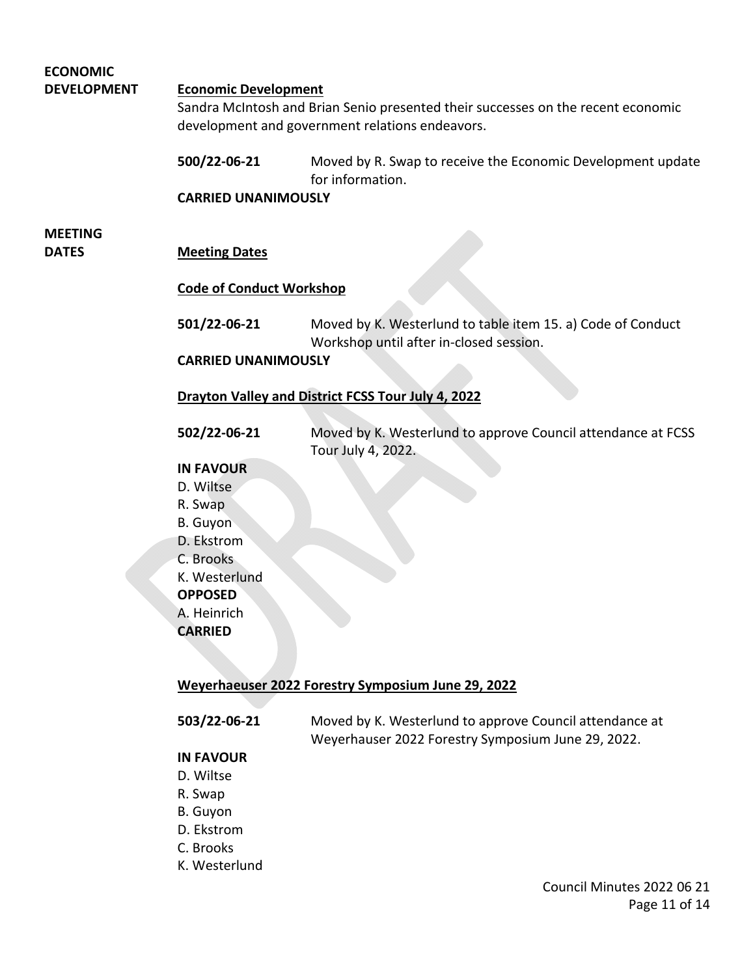| <b>ECONOMIC</b>    |                                                                                                                                                                    |                                                                                 |  |
|--------------------|--------------------------------------------------------------------------------------------------------------------------------------------------------------------|---------------------------------------------------------------------------------|--|
| <b>DEVELOPMENT</b> | <b>Economic Development</b><br>Sandra McIntosh and Brian Senio presented their successes on the recent economic<br>development and government relations endeavors. |                                                                                 |  |
|                    |                                                                                                                                                                    |                                                                                 |  |
|                    |                                                                                                                                                                    |                                                                                 |  |
|                    |                                                                                                                                                                    |                                                                                 |  |
|                    | 500/22-06-21                                                                                                                                                       | Moved by R. Swap to receive the Economic Development update<br>for information. |  |
|                    | <b>CARRIED UNANIMOUSLY</b>                                                                                                                                         |                                                                                 |  |
|                    |                                                                                                                                                                    |                                                                                 |  |
| <b>MEETING</b>     |                                                                                                                                                                    |                                                                                 |  |
| <b>DATES</b>       | <b>Meeting Dates</b>                                                                                                                                               |                                                                                 |  |
|                    |                                                                                                                                                                    |                                                                                 |  |
|                    | <b>Code of Conduct Workshop</b>                                                                                                                                    |                                                                                 |  |
|                    | 501/22-06-21                                                                                                                                                       | Moved by K. Westerlund to table item 15. a) Code of Conduct                     |  |
|                    |                                                                                                                                                                    | Workshop until after in-closed session.                                         |  |
|                    | <b>CARRIED UNANIMOUSLY</b>                                                                                                                                         |                                                                                 |  |
|                    |                                                                                                                                                                    |                                                                                 |  |
|                    | Drayton Valley and District FCSS Tour July 4, 2022                                                                                                                 |                                                                                 |  |
|                    |                                                                                                                                                                    |                                                                                 |  |
|                    | 502/22-06-21                                                                                                                                                       | Moved by K. Westerlund to approve Council attendance at FCSS                    |  |
|                    |                                                                                                                                                                    | Tour July 4, 2022.                                                              |  |
|                    | <b>IN FAVOUR</b>                                                                                                                                                   |                                                                                 |  |
|                    | D. Wiltse                                                                                                                                                          |                                                                                 |  |
|                    | R. Swap                                                                                                                                                            |                                                                                 |  |
|                    | <b>B.</b> Guyon                                                                                                                                                    |                                                                                 |  |
|                    | D. Ekstrom                                                                                                                                                         |                                                                                 |  |
|                    | C. Brooks                                                                                                                                                          |                                                                                 |  |
|                    | K. Westerlund                                                                                                                                                      |                                                                                 |  |
|                    | <b>OPPOSED</b>                                                                                                                                                     |                                                                                 |  |
|                    | A. Heinrich                                                                                                                                                        |                                                                                 |  |
|                    | <b>CARRIED</b>                                                                                                                                                     |                                                                                 |  |
|                    |                                                                                                                                                                    |                                                                                 |  |
|                    | Weyerhaeuser 2022 Forestry Symposium June 29, 2022                                                                                                                 |                                                                                 |  |
|                    |                                                                                                                                                                    |                                                                                 |  |
|                    | E03/33.0C.34                                                                                                                                                       | Mayned by K. Mesterly and to opprove Council ottop                              |  |

**503/22-06-21** Moved by K. Westerlund to approve Council attendance at Weyerhauser 2022 Forestry Symposium June 29, 2022.

### **IN FAVOUR**

- D. Wiltse
- R. Swap
- B. Guyon
- D. Ekstrom
- C. Brooks
- K. Westerlund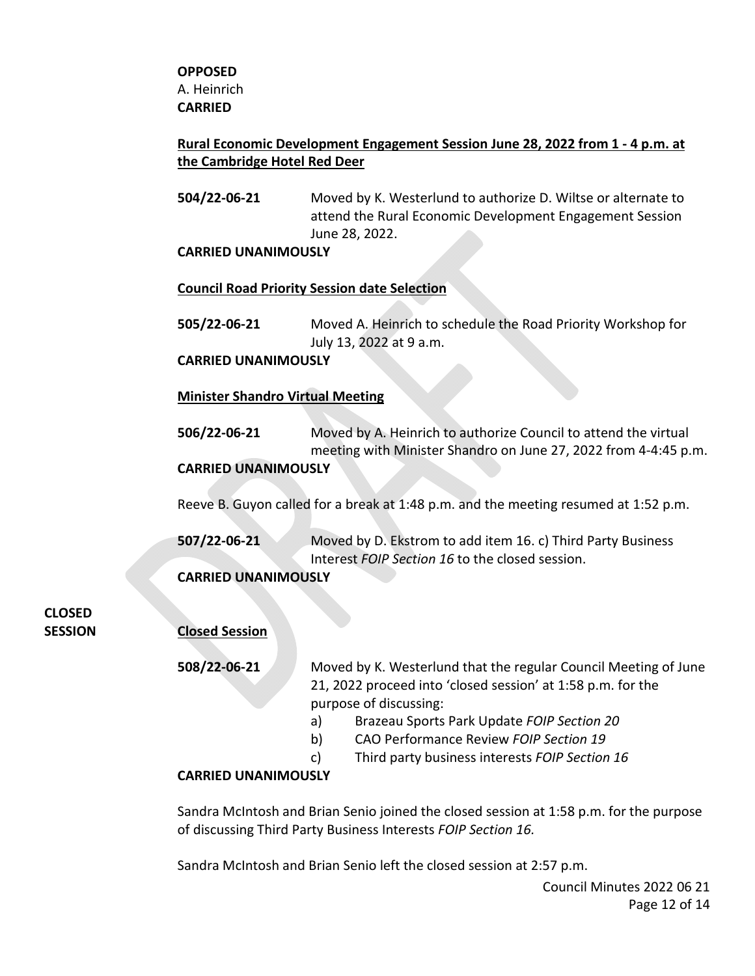#### **Rural Economic Development Engagement Session June 28, 2022 from 1 - 4 p.m. at the Cambridge Hotel Red Deer**

**504/22-06-21** Moved by K. Westerlund to authorize D. Wiltse or alternate to attend the Rural Economic Development Engagement Session June 28, 2022.

#### **CARRIED UNANIMOUSLY**

#### **Council Road Priority Session date Selection**

**505/22-06-21** Moved A. Heinrich to schedule the Road Priority Workshop for July 13, 2022 at 9 a.m.

#### **CARRIED UNANIMOUSLY**

#### **Minister Shandro Virtual Meeting**

**506/22-06-21** Moved by A. Heinrich to authorize Council to attend the virtual meeting with Minister Shandro on June 27, 2022 from 4-4:45 p.m. **CARRIED UNANIMOUSLY** 

Reeve B. Guyon called for a break at 1:48 p.m. and the meeting resumed at 1:52 p.m.

**507/22-06-21** Moved by D. Ekstrom to add item 16. c) Third Party Business Interest *FOIP Section 16* to the closed session.

#### **CARRIED UNANIMOUSLY**

**CLOSED**

### **SESSION Closed Session**

- **508/22-06-21** Moved by K. Westerlund that the regular Council Meeting of June 21, 2022 proceed into 'closed session' at 1:58 p.m. for the purpose of discussing:
	- a) Brazeau Sports Park Update *FOIP Section 20*
	- b) CAO Performance Review *FOIP Section 19*
	- c) Third party business interests *FOIP Section 16*

#### **CARRIED UNANIMOUSLY**

Sandra McIntosh and Brian Senio joined the closed session at 1:58 p.m. for the purpose of discussing Third Party Business Interests *FOIP Section 16.*

Sandra McIntosh and Brian Senio left the closed session at 2:57 p.m.

Council Minutes 2022 06 21 Page 12 of 14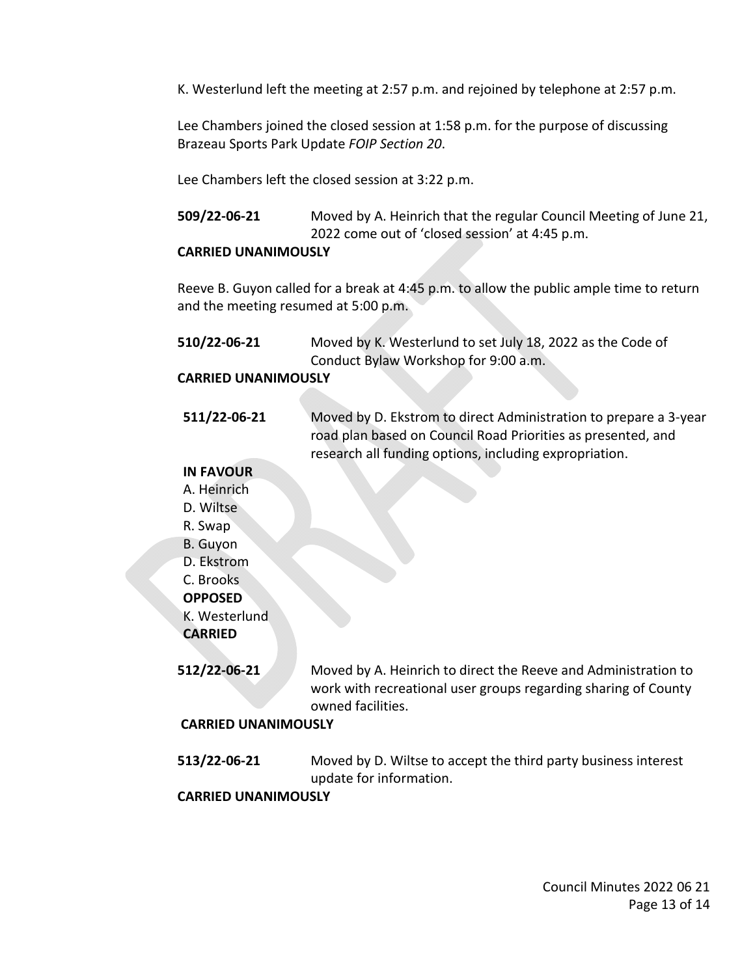K. Westerlund left the meeting at 2:57 p.m. and rejoined by telephone at 2:57 p.m.

Lee Chambers joined the closed session at 1:58 p.m. for the purpose of discussing Brazeau Sports Park Update *FOIP Section 20*.

Lee Chambers left the closed session at 3:22 p.m.

**509/22-06-21** Moved by A. Heinrich that the regular Council Meeting of June 21, 2022 come out of 'closed session' at 4:45 p.m.

#### **CARRIED UNANIMOUSLY**

Reeve B. Guyon called for a break at 4:45 p.m. to allow the public ample time to return and the meeting resumed at 5:00 p.m.

**510/22-06-21** Moved by K. Westerlund to set July 18, 2022 as the Code of Conduct Bylaw Workshop for 9:00 a.m.

#### **CARRIED UNANIMOUSLY**

**511/22-06-21** Moved by D. Ekstrom to direct Administration to prepare a 3-year road plan based on Council Road Priorities as presented, and research all funding options, including expropriation.

#### **IN FAVOUR**

- A. Heinrich
- D. Wiltse
- R. Swap
- B. Guyon
- D. Ekstrom
- C. Brooks
- **OPPOSED**
- K. Westerlund

**CARRIED**

**512/22-06-21** Moved by A. Heinrich to direct the Reeve and Administration to work with recreational user groups regarding sharing of County owned facilities.

#### **CARRIED UNANIMOUSLY**

**513/22-06-21** Moved by D. Wiltse to accept the third party business interest update for information.